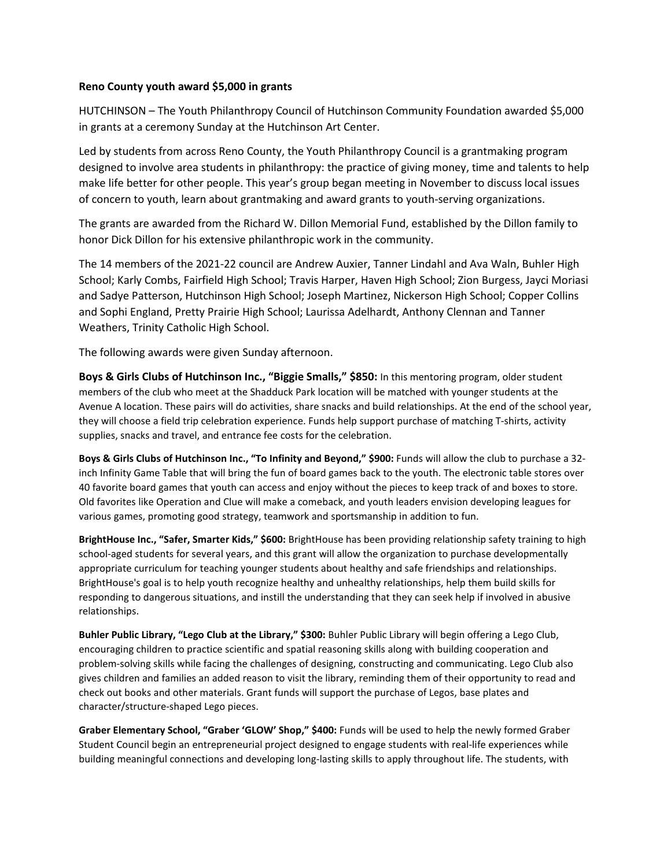## **Reno County youth award \$5,000 in grants**

HUTCHINSON – The Youth Philanthropy Council of Hutchinson Community Foundation awarded \$5,000 in grants at a ceremony Sunday at the Hutchinson Art Center.

Led by students from across Reno County, the Youth Philanthropy Council is a grantmaking program designed to involve area students in philanthropy: the practice of giving money, time and talents to help make life better for other people. This year's group began meeting in November to discuss local issues of concern to youth, learn about grantmaking and award grants to youth-serving organizations.

The grants are awarded from the Richard W. Dillon Memorial Fund, established by the Dillon family to honor Dick Dillon for his extensive philanthropic work in the community.

The 14 members of the 2021-22 council are Andrew Auxier, Tanner Lindahl and Ava Waln, Buhler High School; Karly Combs, Fairfield High School; Travis Harper, Haven High School; Zion Burgess, Jayci Moriasi and Sadye Patterson, Hutchinson High School; Joseph Martinez, Nickerson High School; Copper Collins and Sophi England, Pretty Prairie High School; Laurissa Adelhardt, Anthony Clennan and Tanner Weathers, Trinity Catholic High School.

The following awards were given Sunday afternoon.

**Boys & Girls Clubs of Hutchinson Inc., "Biggie Smalls," \$850:** In this mentoring program, older student members of the club who meet at the Shadduck Park location will be matched with younger students at the Avenue A location. These pairs will do activities, share snacks and build relationships. At the end of the school year, they will choose a field trip celebration experience. Funds help support purchase of matching T-shirts, activity supplies, snacks and travel, and entrance fee costs for the celebration.

**Boys & Girls Clubs of Hutchinson Inc., "To Infinity and Beyond," \$900:** Funds will allow the club to purchase a 32 inch Infinity Game Table that will bring the fun of board games back to the youth. The electronic table stores over 40 favorite board games that youth can access and enjoy without the pieces to keep track of and boxes to store. Old favorites like Operation and Clue will make a comeback, and youth leaders envision developing leagues for various games, promoting good strategy, teamwork and sportsmanship in addition to fun.

**BrightHouse Inc., "Safer, Smarter Kids," \$600:** BrightHouse has been providing relationship safety training to high school-aged students for several years, and this grant will allow the organization to purchase developmentally appropriate curriculum for teaching younger students about healthy and safe friendships and relationships. BrightHouse's goal is to help youth recognize healthy and unhealthy relationships, help them build skills for responding to dangerous situations, and instill the understanding that they can seek help if involved in abusive relationships.

**Buhler Public Library, "Lego Club at the Library," \$300:** Buhler Public Library will begin offering a Lego Club, encouraging children to practice scientific and spatial reasoning skills along with building cooperation and problem-solving skills while facing the challenges of designing, constructing and communicating. Lego Club also gives children and families an added reason to visit the library, reminding them of their opportunity to read and check out books and other materials. Grant funds will support the purchase of Legos, base plates and character/structure-shaped Lego pieces.

**Graber Elementary School, "Graber 'GLOW' Shop," \$400:** Funds will be used to help the newly formed Graber Student Council begin an entrepreneurial project designed to engage students with real-life experiences while building meaningful connections and developing long-lasting skills to apply throughout life. The students, with